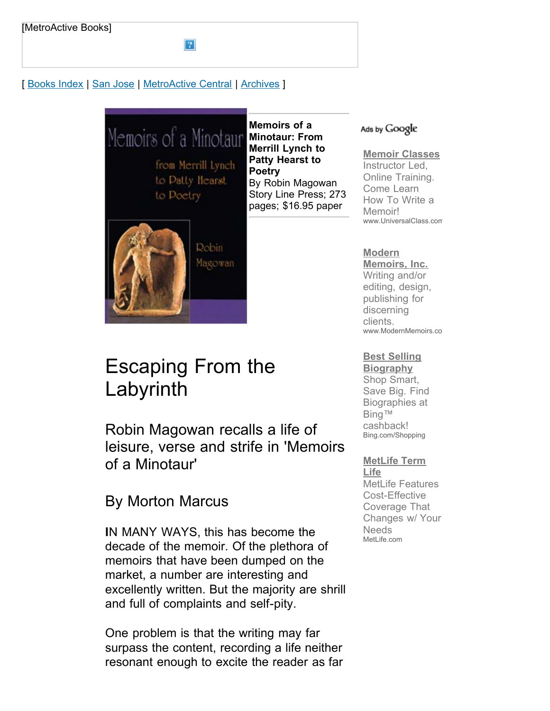## [ [Books Index](http://metroactive.com/books/) | [San Jose](http://www.metroactive.com/papers/metro/11.04.99/index.html) | [MetroActive Central](http://metroactive.com/) | [Archives](http://metroactive.com/papers/metro/archives.html) ]



 $\overline{?}$ 

**Memoirs of a Merrill Lynch to Patty Hearst to Poetry** By Robin Magowan Story Line Press; 273 pages; \$16.95 paper

# Escaping From the Labyrinth

**Robin** Magowan

Robin Magowan recalls a life of leisure, verse and strife in 'Memoirs of a Minotaur'

## By Morton Marcus

**I**N MANY WAYS, this has become the decade of the memoir. Of the plethora of memoirs that have been dumped on the market, a number are interesting and excellently written. But the majority are shrill and full of complaints and self-pity.

One problem is that the writing may far surpass the content, recording a life neither resonant enough to excite the reader as far

#### Ads by Google

## **[Memoir Classes](http://googleads.g.doubleclick.net/aclk?sa=l&ai=B5eQmnNy4S6XABYyqjQTQt7jMDpenoWeHg7fbD8CNtwHg3CoQARgBIPaOvQkoBDgAUMuj94T______wFgyZbVhsij9BmgAeDFtP8DsgETd3d3Lm1ldHJvYWN0aXZlLmNvbboBCjEyMHg2MDBfYXPIAQHaAUVodHRwOi8vd3d3Lm1ldHJvYWN0aXZlLmNvbS9wYXBlcnMvbWV0cm8vMTEuMDQuOTkvbHEtbWFnb3dhbi05OTQ0Lmh0bWyAAgGoAwHIAwfoAyLoA7UE6AMW6AOQA_UDAAAAxA&num=1&sig=AGiWqty6R3ZLoFHm0oekPo02cvj0DJ73BA&client=ca-pub-0074378341047059&adurl=http://clk.universalclass.com/aff/clk.htm%3Faffid%3Dgoogle%26crn%3D7550285%26u%3D%252Fi%252Fcrn%252F7550079%252Ehtm)**

Instructor Led, Online Training. Come Learn How To Write a Memoir! www.UniversalClass.com

## **Modern**

**[Memoirs, Inc.](http://googleads.g.doubleclick.net/aclk?sa=l&ai=BGKWvnNy4S6XABYyqjQTQt7jMDqK_-3_06cmvAsCNtwGwnxoQAhgCIPaOvQkoBDgAULf13-wFYMmW1YbIo_QZsgETd3d3Lm1ldHJvYWN0aXZlLmNvbboBCjEyMHg2MDBfYXPIAQHaAUVodHRwOi8vd3d3Lm1ldHJvYWN0aXZlLmNvbS9wYXBlcnMvbWV0cm8vMTEuMDQuOTkvbHEtbWFnb3dhbi05OTQ0Lmh0bWyoAwHIAwfoAyLoA7UE6AMW6AOQA_UDAAAAxA&num=2&sig=AGiWqtz2aEWapOI18TE7sPoMEfA3l5_FTg&client=ca-pub-0074378341047059&adurl=http://www.modernmemoirs.com)** Writing and/or editing, design, publishing for discerning clients. www.ModernMemoirs.co

## **[Best Selling](http://googleads.g.doubleclick.net/aclk?sa=l&ai=Bq-T5nNy4S6XABYyqjQTQt7jMDo_Lx7kB_5bhmRLAjbcBkPQdEAMYAyD2jr0JKAQ4AFD11K3t_v____8BYMmW1YbIo_QZsgETd3d3Lm1ldHJvYWN0aXZlLmNvbboBCjEyMHg2MDBfYXPIAQHaAUVodHRwOi8vd3d3Lm1ldHJvYWN0aXZlLmNvbS9wYXBlcnMvbWV0cm8vMTEuMDQuOTkvbHEtbWFnb3dhbi05OTQ0Lmh0bWzIAuPokBGoAwHIAwfoAyLoA7UE6AMW6AOQA_UDAAAAxA&num=3&sig=AGiWqtyXgeJyiWqzkh9ya7vYzFhJFJgfxg&client=ca-pub-0074378341047059&adurl=http://www.bing.com/shopping/search%3Fq%3Dbest%2520seller%2520biography%26p1%3D%255bcommerceservice%2Bscenario%253d%2522f%2522%255d%26FORM%3DMSHNOC%26publ%3DGoogle%26crea%3Duserid17431796b101ff7c91a217d5f743d357fe80c)**

**Biography** Shop Smart, Save Big. Find Biographies at Bing™ cashback! Bing.com/Shopping

## **[MetLife Term](http://googleads.g.doubleclick.net/aclk?sa=l&ai=BgqEbnNy4S6XABYyqjQTQt7jMDoyqnK8Buqyo4RDAjbcBkMSkAxAEGAQg9o69CSgEOABQ9o2hj_3_____AWDJltWGyKP0GaAB-oa67gOyARN3d3cubWV0cm9hY3RpdmUuY29tugEKMTIweDYwMF9hc8gBAdoBRWh0dHA6Ly93d3cubWV0cm9hY3RpdmUuY29tL3BhcGVycy9tZXRyby8xMS4wNC45OS9scS1tYWdvd2FuLTk5NDQuaHRtbMgCoMntDqgDAcgDB-gDIugDtQToAxboA5AD9QMAAADE&num=4&sig=AGiWqtytE-94vKzhiFFD9O2Tx5gXAG8WTA&client=ca-pub-0074378341047059&adurl=http://ad.doubleclick.net/clk%3B215173907%3B37150172%3Ba%3Bu%3Dms%26sv1%3Dc2147653_9K93jGie%26sv2%3D4404466410%26sv3%3D432ti42187%3B%3Fhttps://www.metlife.com/campaign/search/term-life-quote/mm/index.html%3FWT.mc_id%3Dcd004004%26pagefrom%3DMLBN_LIS&nm=3)**

**Life** MetLife Features Cost-Effective Coverage That Changes w/ Your Needs MetLife.com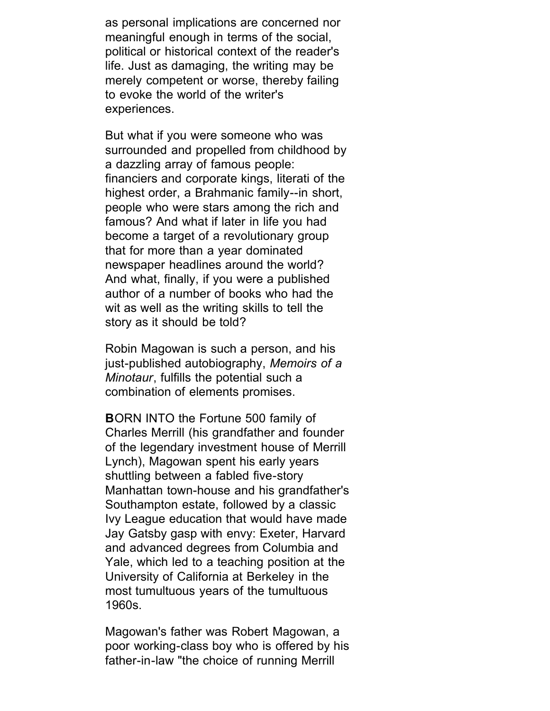as personal implications are concerned nor meaningful enough in terms of the social, political or historical context of the reader's life. Just as damaging, the writing may be merely competent or worse, thereby failing to evoke the world of the writer's experiences.

But what if you were someone who was surrounded and propelled from childhood by a dazzling array of famous people: financiers and corporate kings, literati of the highest order, a Brahmanic family--in short, people who were stars among the rich and famous? And what if later in life you had become a target of a revolutionary group that for more than a year dominated newspaper headlines around the world? And what, finally, if you were a published author of a number of books who had the wit as well as the writing skills to tell the story as it should be told?

Robin Magowan is such a person, and his just-published autobiography, *Memoirs of a Minotaur*, fulfills the potential such a combination of elements promises.

**B**ORN INTO the Fortune 500 family of Charles Merrill (his grandfather and founder of the legendary investment house of Merrill Lynch), Magowan spent his early years shuttling between a fabled five-story Manhattan town-house and his grandfather's Southampton estate, followed by a classic Ivy League education that would have made Jay Gatsby gasp with envy: Exeter, Harvard and advanced degrees from Columbia and Yale, which led to a teaching position at the University of California at Berkeley in the most tumultuous years of the tumultuous 1960s.

Magowan's father was Robert Magowan, a poor working-class boy who is offered by his father-in-law "the choice of running Merrill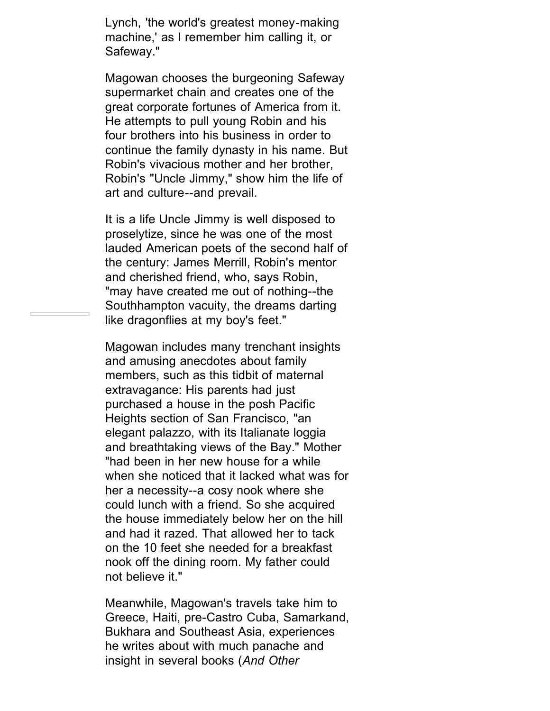Lynch, 'the world's greatest money-making machine,' as I remember him calling it, or Safeway."

Magowan chooses the burgeoning Safeway supermarket chain and creates one of the great corporate fortunes of America from it. He attempts to pull young Robin and his four brothers into his business in order to continue the family dynasty in his name. But Robin's vivacious mother and her brother, Robin's "Uncle Jimmy," show him the life of art and culture--and prevail.

It is a life Uncle Jimmy is well disposed to proselytize, since he was one of the most lauded American poets of the second half of the century: James Merrill, Robin's mentor and cherished friend, who, says Robin, "may have created me out of nothing--the Southhampton vacuity, the dreams darting like dragonflies at my boy's feet."

Magowan includes many trenchant insights and amusing anecdotes about family members, such as this tidbit of maternal extravagance: His parents had just purchased a house in the posh Pacific Heights section of San Francisco, "an elegant palazzo, with its Italianate loggia and breathtaking views of the Bay." Mother "had been in her new house for a while when she noticed that it lacked what was for her a necessity--a cosy nook where she could lunch with a friend. So she acquired the house immediately below her on the hill and had it razed. That allowed her to tack on the 10 feet she needed for a breakfast nook off the dining room. My father could not believe it."

Meanwhile, Magowan's travels take him to Greece, Haiti, pre-Castro Cuba, Samarkand, Bukhara and Southeast Asia, experiences he writes about with much panache and insight in several books (*And Other*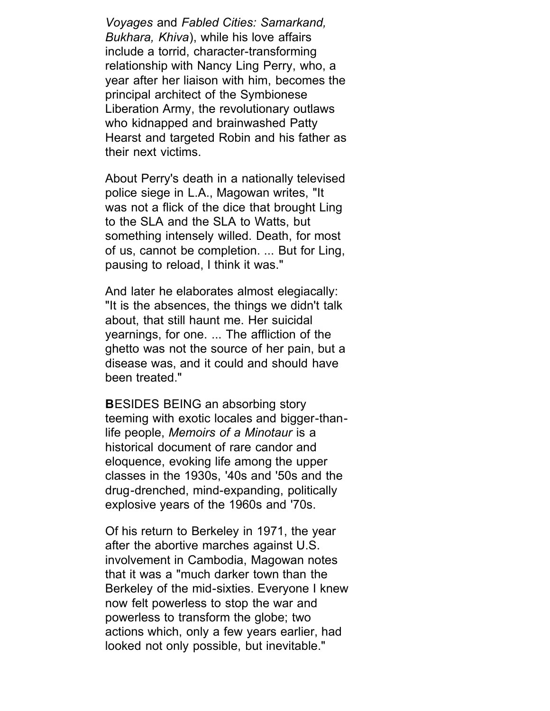*Voyages* and *Fabled Cities: Samarkand, Bukhara, Khiva*), while his love affairs include a torrid, character-transforming relationship with Nancy Ling Perry, who, a year after her liaison with him, becomes the principal architect of the Symbionese Liberation Army, the revolutionary outlaws who kidnapped and brainwashed Patty Hearst and targeted Robin and his father as their next victims.

About Perry's death in a nationally televised police siege in L.A., Magowan writes, "It was not a flick of the dice that brought Ling to the SLA and the SLA to Watts, but something intensely willed. Death, for most of us, cannot be completion. ... But for Ling, pausing to reload, I think it was."

And later he elaborates almost elegiacally: "It is the absences, the things we didn't talk about, that still haunt me. Her suicidal yearnings, for one. ... The affliction of the ghetto was not the source of her pain, but a disease was, and it could and should have been treated."

**B**ESIDES BEING an absorbing story teeming with exotic locales and bigger-thanlife people, *Memoirs of a Minotaur* is a historical document of rare candor and eloquence, evoking life among the upper classes in the 1930s, '40s and '50s and the drug-drenched, mind-expanding, politically explosive years of the 1960s and '70s.

Of his return to Berkeley in 1971, the year after the abortive marches against U.S. involvement in Cambodia, Magowan notes that it was a "much darker town than the Berkeley of the mid-sixties. Everyone I knew now felt powerless to stop the war and powerless to transform the globe; two actions which, only a few years earlier, had looked not only possible, but inevitable."